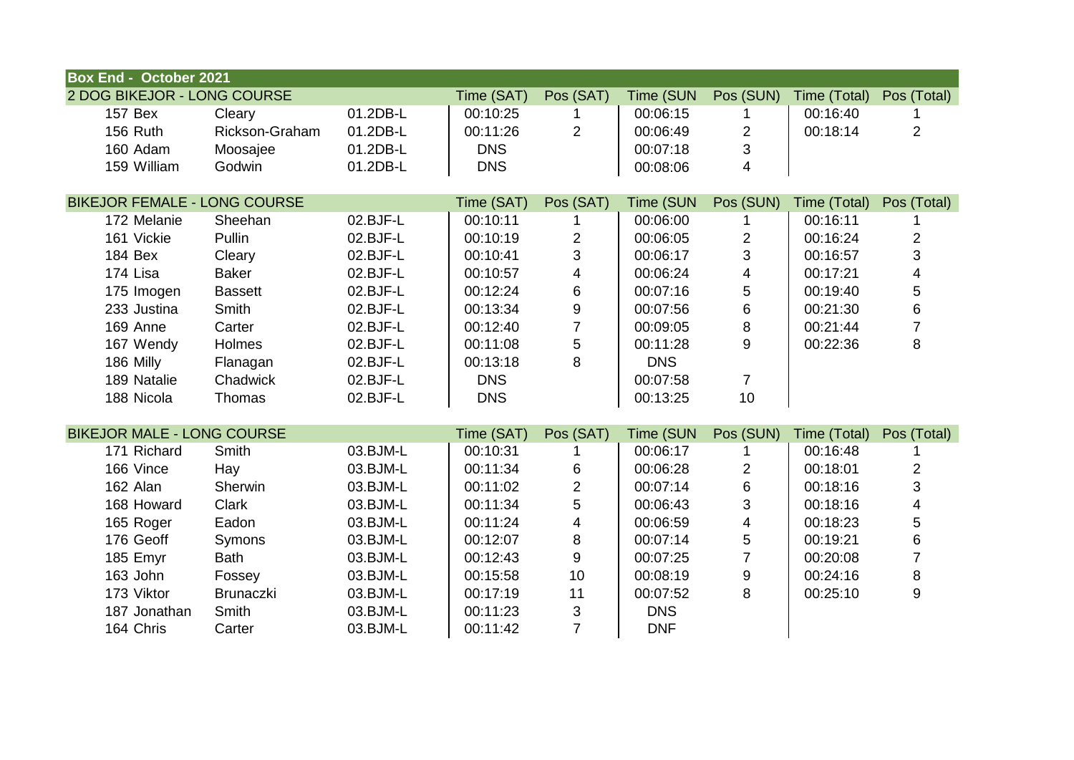| <b>Box End - October 2021</b>       |                  |          |            |                         |            |                         |              |                         |
|-------------------------------------|------------------|----------|------------|-------------------------|------------|-------------------------|--------------|-------------------------|
| 2 DOG BIKEJOR - LONG COURSE         |                  |          | Time (SAT) | Pos (SAT)               | Time (SUN  | Pos (SUN)               | Time (Total) | Pos (Total)             |
| 157 Bex                             | Cleary           | 01.2DB-L | 00:10:25   |                         | 00:06:15   |                         | 00:16:40     |                         |
| 156 Ruth                            | Rickson-Graham   | 01.2DB-L | 00:11:26   | $\overline{2}$          | 00:06:49   | $\overline{2}$          | 00:18:14     | $\overline{2}$          |
| 160 Adam                            | Moosajee         | 01.2DB-L | <b>DNS</b> |                         | 00:07:18   | 3                       |              |                         |
| 159 William                         | Godwin           | 01.2DB-L | <b>DNS</b> |                         | 00:08:06   | 4                       |              |                         |
|                                     |                  |          |            |                         |            |                         |              |                         |
| <b>BIKEJOR FEMALE - LONG COURSE</b> |                  |          | Time (SAT) | Pos (SAT)               | Time (SUN  | Pos (SUN)               | Time (Total) | Pos (Total)             |
| 172 Melanie                         | Sheehan          | 02.BJF-L | 00:10:11   |                         | 00:06:00   |                         | 00:16:11     |                         |
| 161 Vickie                          | Pullin           | 02.BJF-L | 00:10:19   | $\sqrt{2}$              | 00:06:05   | $\overline{c}$          | 00:16:24     | $\overline{2}$          |
| 184 Bex                             | Cleary           | 02.BJF-L | 00:10:41   | $\mathfrak{S}$          | 00:06:17   | 3                       | 00:16:57     | 3                       |
| 174 Lisa                            | <b>Baker</b>     | 02.BJF-L | 00:10:57   | $\overline{\mathbf{4}}$ | 00:06:24   | $\overline{\mathbf{4}}$ | 00:17:21     | $\overline{\mathbf{4}}$ |
| 175 Imogen                          | <b>Bassett</b>   | 02.BJF-L | 00:12:24   | 6                       | 00:07:16   | $\mathbf 5$             | 00:19:40     | 5                       |
| 233 Justina                         | Smith            | 02.BJF-L | 00:13:34   | $\boldsymbol{9}$        | 00:07:56   | 6                       | 00:21:30     | 6                       |
| 169 Anne                            | Carter           | 02.BJF-L | 00:12:40   | $\overline{7}$          | 00:09:05   | 8                       | 00:21:44     | $\overline{7}$          |
| 167 Wendy                           | Holmes           | 02.BJF-L | 00:11:08   | 5                       | 00:11:28   | 9                       | 00:22:36     | 8                       |
| 186 Milly                           | Flanagan         | 02.BJF-L | 00:13:18   | 8                       | <b>DNS</b> |                         |              |                         |
| 189 Natalie                         | Chadwick         | 02.BJF-L | <b>DNS</b> |                         | 00:07:58   | $\overline{7}$          |              |                         |
| 188 Nicola                          | Thomas           | 02.BJF-L | <b>DNS</b> |                         | 00:13:25   | 10                      |              |                         |
|                                     |                  |          |            |                         |            |                         |              |                         |
| <b>BIKEJOR MALE - LONG COURSE</b>   |                  |          | Time (SAT) | Pos (SAT)               | Time (SUN  | Pos (SUN)               | Time (Total) | Pos (Total)             |
| 171 Richard                         | <b>Smith</b>     | 03.BJM-L | 00:10:31   |                         | 00:06:17   |                         | 00:16:48     |                         |
| 166 Vince                           | Hay              | 03.BJM-L | 00:11:34   | $\,6$                   | 00:06:28   | $\overline{\mathbf{c}}$ | 00:18:01     | $\overline{c}$          |
| 162 Alan                            | Sherwin          | 03.BJM-L | 00:11:02   | $\overline{c}$          | 00:07:14   | $\,6\,$                 | 00:18:16     | 3                       |
| 168 Howard                          | Clark            | 03.BJM-L | 00:11:34   | 5                       | 00:06:43   | 3                       | 00:18:16     | $\overline{\mathbf{4}}$ |
| 165 Roger                           | Eadon            | 03.BJM-L | 00:11:24   | 4                       | 00:06:59   | $\overline{\mathbf{4}}$ | 00:18:23     | 5                       |
| 176 Geoff                           | Symons           | 03.BJM-L | 00:12:07   | $\,8\,$                 | 00:07:14   | $\mathbf 5$             | 00:19:21     | 6                       |
| 185 Emyr                            | <b>Bath</b>      | 03.BJM-L | 00:12:43   | 9                       | 00:07:25   | $\overline{7}$          | 00:20:08     | $\overline{7}$          |
| 163 John                            | Fossey           | 03.BJM-L | 00:15:58   | 10                      | 00:08:19   | 9                       | 00:24:16     | 8                       |
| 173 Viktor                          | <b>Brunaczki</b> | 03.BJM-L | 00:17:19   | 11                      | 00:07:52   | 8                       | 00:25:10     | 9                       |
| 187 Jonathan                        | Smith            | 03.BJM-L | 00:11:23   | $\sqrt{3}$              | <b>DNS</b> |                         |              |                         |
| 164 Chris                           | Carter           | 03.BJM-L | 00:11:42   | $\overline{7}$          | <b>DNF</b> |                         |              |                         |
|                                     |                  |          |            |                         |            |                         |              |                         |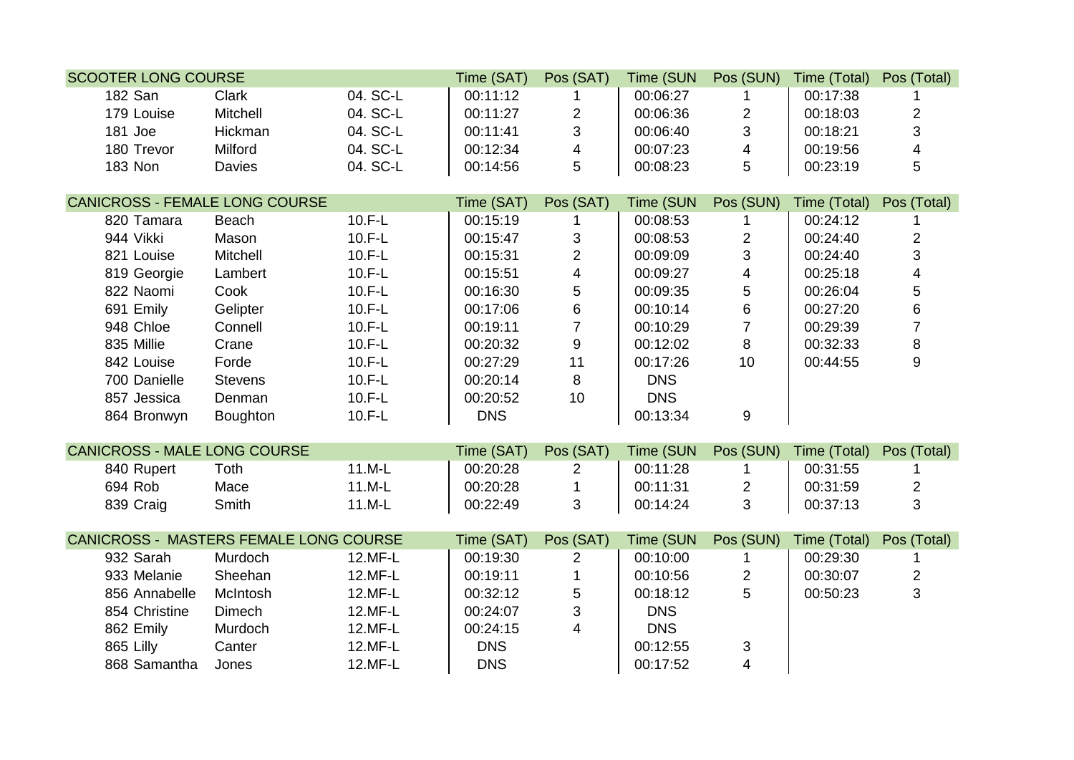| <b>SCOOTER LONG COURSE</b>             |                |          | Time (SAT) | Pos (SAT)               | Time (SUN  | Pos (SUN)               | Time (Total) | Pos (Total)             |
|----------------------------------------|----------------|----------|------------|-------------------------|------------|-------------------------|--------------|-------------------------|
| <b>182 San</b>                         | <b>Clark</b>   | 04. SC-L | 00:11:12   |                         | 00:06:27   |                         | 00:17:38     |                         |
| 179 Louise                             | Mitchell       | 04. SC-L | 00:11:27   | $\overline{c}$          | 00:06:36   | $\overline{c}$          | 00:18:03     | $\mathbf{2}$            |
| 181 Joe                                | Hickman        | 04. SC-L | 00:11:41   | $\mathbf{3}$            | 00:06:40   | $\mathbf{3}$            | 00:18:21     | 3                       |
| 180 Trevor                             | Milford        | 04. SC-L | 00:12:34   | $\overline{\mathbf{4}}$ | 00:07:23   | $\overline{\mathbf{4}}$ | 00:19:56     | $\overline{4}$          |
| 183 Non                                | Davies         | 04. SC-L | 00:14:56   | 5                       | 00:08:23   | 5                       | 00:23:19     | 5                       |
|                                        |                |          |            |                         |            |                         |              |                         |
| <b>CANICROSS - FEMALE LONG COURSE</b>  |                |          | Time (SAT) | Pos (SAT)               | Time (SUN  | Pos (SUN)               | Time (Total) | Pos (Total)             |
| 820 Tamara                             | Beach          | $10.F-L$ | 00:15:19   |                         | 00:08:53   |                         | 00:24:12     | 1                       |
| 944 Vikki                              | Mason          | $10.F-L$ | 00:15:47   | $\sqrt{3}$              | 00:08:53   | $\mathbf{2}$            | 00:24:40     | $\mathbf{2}$            |
| 821 Louise                             | Mitchell       | $10.F-L$ | 00:15:31   | $\overline{2}$          | 00:09:09   | $\mathbf{3}$            | 00:24:40     | $\mathfrak{S}$          |
| 819 Georgie                            | Lambert        | $10.F-L$ | 00:15:51   | $\overline{4}$          | 00:09:27   | $\overline{\mathbf{4}}$ | 00:25:18     | $\overline{\mathbf{4}}$ |
| 822 Naomi                              | Cook           | $10.F-L$ | 00:16:30   | $\sqrt{5}$              | 00:09:35   | 5                       | 00:26:04     | 5                       |
| 691 Emily                              | Gelipter       | $10.F-L$ | 00:17:06   | $\, 6$                  | 00:10:14   | $\, 6$                  | 00:27:20     | 6                       |
| 948 Chloe                              | Connell        | $10.F-L$ | 00:19:11   | $\overline{7}$          | 00:10:29   | $\overline{7}$          | 00:29:39     | $\overline{7}$          |
| 835 Millie                             | Crane          | $10.F-L$ | 00:20:32   | $\boldsymbol{9}$        | 00:12:02   | 8                       | 00:32:33     | $\bf 8$                 |
| 842 Louise                             | Forde          | $10.F-L$ | 00:27:29   | 11                      | 00:17:26   | 10                      | 00:44:55     | 9                       |
| 700 Danielle                           | <b>Stevens</b> | $10.F-L$ | 00:20:14   | 8                       | <b>DNS</b> |                         |              |                         |
| 857 Jessica                            | Denman         | $10.F-L$ | 00:20:52   | 10                      | <b>DNS</b> |                         |              |                         |
| 864 Bronwyn                            | Boughton       | $10.F-L$ | <b>DNS</b> |                         | 00:13:34   | 9                       |              |                         |
|                                        |                |          |            |                         |            |                         |              |                         |
| <b>CANICROSS - MALE LONG COURSE</b>    |                |          | Time (SAT) | Pos (SAT)               | Time (SUN  | Pos (SUN)               | Time (Total) | Pos (Total)             |
| 840 Rupert                             | Toth           | 11.M-L   | 00:20:28   | 2                       | 00:11:28   | 1                       | 00:31:55     | 1                       |
| 694 Rob                                | Mace           | 11.M-L   | 00:20:28   | $\mathbf{1}$            | 00:11:31   | $\overline{2}$          | 00:31:59     | $\overline{2}$          |
| 839 Craig                              | Smith          | 11.M-L   | 00:22:49   | 3                       | 00:14:24   | 3                       | 00:37:13     | 3                       |
|                                        |                |          |            |                         |            |                         |              |                         |
| CANICROSS - MASTERS FEMALE LONG COURSE |                |          | Time (SAT) | Pos (SAT)               | Time (SUN  | Pos (SUN)               | Time (Total) | Pos (Total)             |
| 932 Sarah                              | Murdoch        | 12.MF-L  | 00:19:30   | 2                       | 00:10:00   |                         | 00:29:30     | 1.                      |
| 933 Melanie                            | Sheehan        | 12.MF-L  | 00:19:11   |                         | 00:10:56   | $\overline{2}$          | 00:30:07     | $\overline{2}$          |
| 856 Annabelle                          | McIntosh       | 12.MF-L  | 00:32:12   | $\mathbf 5$             | 00:18:12   | 5                       | 00:50:23     | 3                       |
| 854 Christine                          | Dimech         | 12.MF-L  | 00:24:07   | $\mathfrak{S}$          | <b>DNS</b> |                         |              |                         |
| 862 Emily                              | Murdoch        | 12.MF-L  | 00:24:15   | $\overline{4}$          | <b>DNS</b> |                         |              |                         |
| 865 Lilly                              | Canter         | 12.MF-L  | <b>DNS</b> |                         | 00:12:55   | 3                       |              |                         |
| 868 Samantha                           | Jones          | 12.MF-L  | <b>DNS</b> |                         | 00:17:52   | $\overline{4}$          |              |                         |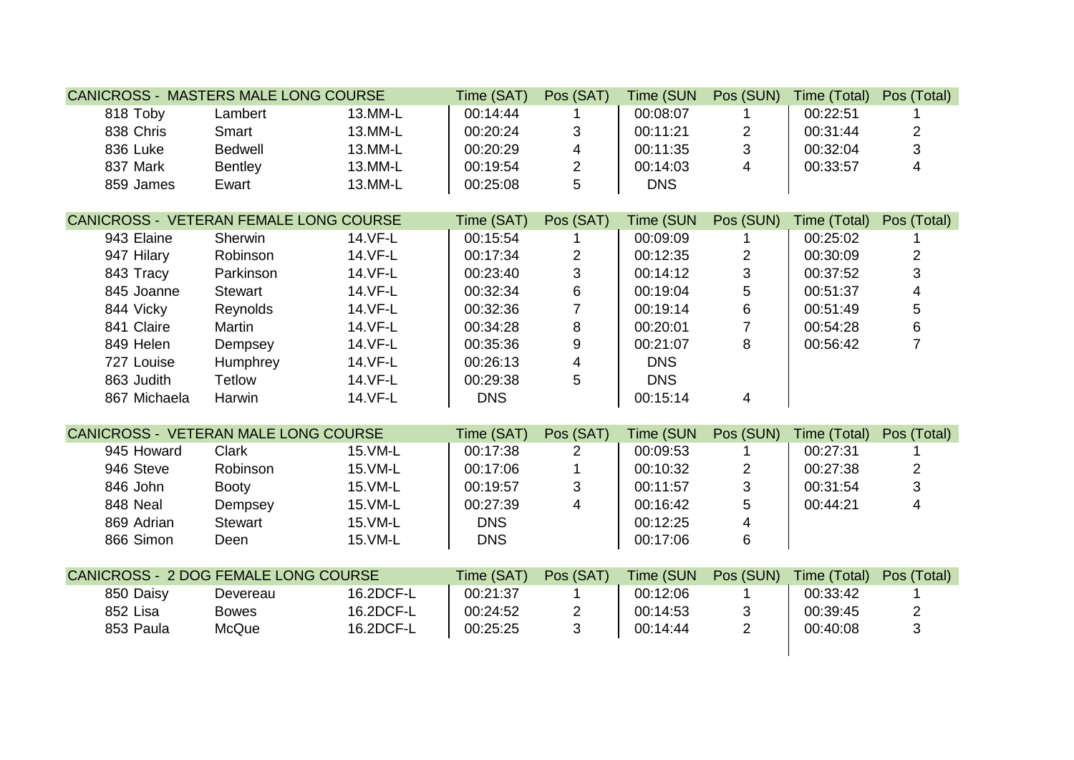| <b>CANICROSS - MASTERS MALE LONG COURSE</b>   |                |           | Time (SAT) | Pos (SAT)               | Time (SUN  | Pos (SUN)         | Time (Total) | Pos (Total)             |
|-----------------------------------------------|----------------|-----------|------------|-------------------------|------------|-------------------|--------------|-------------------------|
| 818 Toby                                      | Lambert        | 13.MM-L   | 00:14:44   |                         | 00:08:07   |                   | 00:22:51     |                         |
| 838 Chris                                     | Smart          | 13.MM-L   | 00:20:24   | $\sqrt{3}$              | 00:11:21   | $\overline{2}$    | 00:31:44     | $\overline{c}$          |
| 836 Luke                                      | <b>Bedwell</b> | 13.MM-L   | 00:20:29   | $\overline{\mathbf{4}}$ | 00:11:35   | $\mathfrak{S}$    | 00:32:04     | 3                       |
| 837 Mark                                      | <b>Bentley</b> | 13.MM-L   | 00:19:54   | $\overline{c}$          | 00:14:03   | $\overline{4}$    | 00:33:57     | $\overline{4}$          |
| 859 James                                     | Ewart          | 13.MM-L   | 00:25:08   | 5                       | <b>DNS</b> |                   |              |                         |
| <b>CANICROSS - VETERAN FEMALE LONG COURSE</b> |                |           | Time (SAT) | Pos (SAT)               | Time (SUN  | Pos (SUN)         | Time (Total) |                         |
| 943 Elaine                                    | Sherwin        | 14.VF-L   | 00:15:54   |                         | 00:09:09   |                   | 00:25:02     | Pos (Total)             |
|                                               |                | 14.VF-L   |            |                         | 00:12:35   |                   |              |                         |
| 947 Hilary                                    | Robinson       |           | 00:17:34   | $\overline{2}$          |            | $\mathbf{2}$      | 00:30:09     | $\overline{c}$<br>3     |
| 843 Tracy                                     | Parkinson      | 14.VF-L   | 00:23:40   | $\mathfrak{S}$          | 00:14:12   | $\mathbf{3}$<br>5 | 00:37:52     |                         |
| 845 Joanne                                    | <b>Stewart</b> | 14.VF-L   | 00:32:34   | $\,6\,$                 | 00:19:04   |                   | 00:51:37     | $\overline{\mathbf{4}}$ |
| 844 Vicky                                     | Reynolds       | 14.VF-L   | 00:32:36   | $\overline{7}$          | 00:19:14   | $\,6\,$           | 00:51:49     | 5                       |
| 841 Claire                                    | Martin         | 14.VF-L   | 00:34:28   | $\bf 8$                 | 00:20:01   | $\overline{7}$    | 00:54:28     | 6                       |
| 849 Helen                                     | Dempsey        | 14.VF-L   | 00:35:36   | $\boldsymbol{9}$        | 00:21:07   | 8                 | 00:56:42     | $\overline{7}$          |
| 727 Louise                                    | Humphrey       | 14.VF-L   | 00:26:13   | $\overline{\mathbf{4}}$ | <b>DNS</b> |                   |              |                         |
| 863 Judith                                    | <b>Tetlow</b>  | 14.VF-L   | 00:29:38   | 5                       | <b>DNS</b> |                   |              |                         |
| 867 Michaela                                  | Harwin         | 14.VF-L   | <b>DNS</b> |                         | 00:15:14   | 4                 |              |                         |
| CANICROSS - VETERAN MALE LONG COURSE          |                |           | Time (SAT) | Pos (SAT)               | Time (SUN  | Pos (SUN)         | Time (Total) | Pos (Total)             |
| 945 Howard                                    | Clark          | 15. VM-L  | 00:17:38   | 2                       | 00:09:53   | 1.                | 00:27:31     |                         |
| 946 Steve                                     | Robinson       | 15.VM-L   | 00:17:06   | 1                       | 00:10:32   | $\overline{2}$    | 00:27:38     | $\overline{c}$          |
| 846 John                                      | <b>Booty</b>   | 15.VM-L   | 00:19:57   | $\mathbf{3}$            | 00:11:57   | 3                 | 00:31:54     | 3                       |
| 848 Neal                                      | Dempsey        | 15. VM-L  | 00:27:39   | $\overline{4}$          | 00:16:42   | 5                 | 00:44:21     | $\overline{4}$          |
| 869 Adrian                                    | <b>Stewart</b> | 15.VM-L   | <b>DNS</b> |                         | 00:12:25   | $\overline{4}$    |              |                         |
| 866 Simon                                     | Deen           | 15.VM-L   | <b>DNS</b> |                         | 00:17:06   | $\,6\,$           |              |                         |
|                                               |                |           |            |                         |            |                   |              |                         |
| <b>CANICROSS - 2 DOG FEMALE LONG COURSE</b>   |                |           | Time (SAT) | Pos (SAT)               | Time (SUN  | Pos (SUN)         | Time (Total) | Pos (Total)             |
| 850 Daisy                                     | Devereau       | 16.2DCF-L | 00:21:37   |                         | 00:12:06   |                   | 00:33:42     |                         |
| 852 Lisa                                      | <b>Bowes</b>   | 16.2DCF-L | 00:24:52   | $\overline{2}$          | 00:14:53   | $\sqrt{3}$        | 00:39:45     | $\overline{c}$          |
| 853 Paula                                     | McQue          | 16.2DCF-L | 00:25:25   | 3                       | 00:14:44   | $\overline{2}$    | 00:40:08     | 3                       |
|                                               |                |           |            |                         |            |                   |              |                         |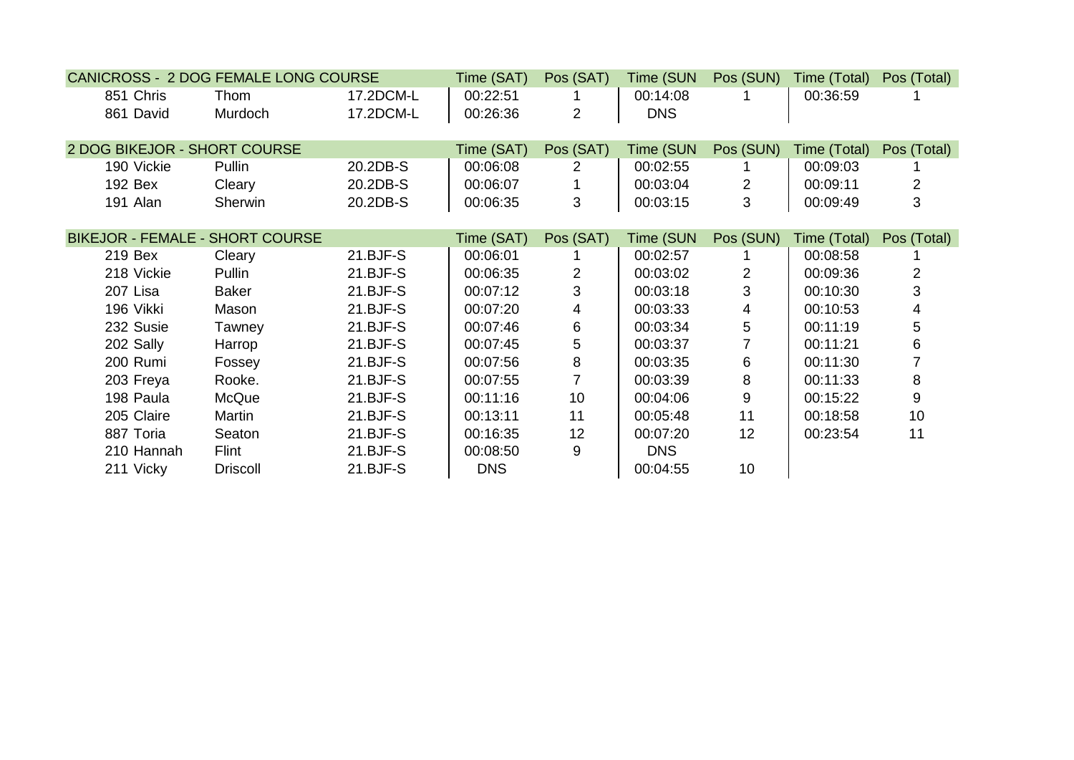| <b>CANICROSS - 2 DOG FEMALE LONG COURSE</b> |                 |            | Time (SAT) | Pos (SAT)                 | Time (SUN  | Pos (SUN)      | Time (Total) | Pos (Total)    |
|---------------------------------------------|-----------------|------------|------------|---------------------------|------------|----------------|--------------|----------------|
| 851 Chris                                   | Thom            | 17.2DCM-L  | 00:22:51   |                           | 00:14:08   |                | 00:36:59     |                |
| 861 David                                   | Murdoch         | 17.2DCM-L  | 00:26:36   | $\overline{2}$            | <b>DNS</b> |                |              |                |
|                                             |                 |            |            |                           |            |                |              |                |
| 2 DOG BIKEJOR - SHORT COURSE                |                 |            | Time (SAT) | Pos (SAT)                 | Time (SUN  | Pos (SUN)      | Time (Total) | Pos (Total)    |
| 190 Vickie                                  | Pullin          | 20.2DB-S   | 00:06:08   | $\mathbf{2}^{\mathsf{I}}$ | 00:02:55   |                | 00:09:03     |                |
| 192 Bex                                     | Cleary          | 20.2DB-S   | 00:06:07   |                           | 00:03:04   | $\overline{2}$ | 00:09:11     | $\overline{2}$ |
| 191 Alan                                    | Sherwin         | 20.2DB-S   | 00:06:35   | 3                         | 00:03:15   | 3              | 00:09:49     | 3              |
|                                             |                 |            |            |                           |            |                |              |                |
| <b>BIKEJOR - FEMALE - SHORT COURSE</b>      |                 |            | Time (SAT) | Pos (SAT)                 | Time (SUN  | Pos (SUN)      | Time (Total) | Pos (Total)    |
| 219 Bex                                     | Cleary          | $21.BJF-S$ | 00:06:01   |                           | 00:02:57   |                | 00:08:58     |                |
| 218 Vickie                                  | Pullin          | 21.BJF-S   | 00:06:35   | $\overline{2}$            | 00:03:02   | $\overline{2}$ | 00:09:36     | 2              |
| 207 Lisa                                    | <b>Baker</b>    | 21.BJF-S   | 00:07:12   | 3                         | 00:03:18   | 3              | 00:10:30     | 3              |
| 196 Vikki                                   | Mason           | $21.BJF-S$ | 00:07:20   | 4                         | 00:03:33   | 4              | 00:10:53     | 4              |
| 232 Susie                                   | Tawney          | 21.BJF-S   | 00:07:46   | 6                         | 00:03:34   | 5              | 00:11:19     | 5              |
| 202 Sally                                   | Harrop          | $21.BJF-S$ | 00:07:45   | $5\overline{)}$           | 00:03:37   | $\overline{7}$ | 00:11:21     | 6              |
| 200 Rumi                                    | Fossey          | $21.BJF-S$ | 00:07:56   | 8                         | 00:03:35   | 6              | 00:11:30     |                |
| 203 Freya                                   | Rooke.          | 21.BJF-S   | 00:07:55   | $\overline{7}$            | 00:03:39   | 8              | 00:11:33     | 8              |
| 198 Paula                                   | McQue           | 21.BJF-S   | 00:11:16   | 10                        | 00:04:06   | 9              | 00:15:22     | 9              |
| 205 Claire                                  | Martin          | 21.BJF-S   | 00:13:11   | 11                        | 00:05:48   | 11             | 00:18:58     | 10             |
| 887 Toria                                   | Seaton          | 21.BJF-S   | 00:16:35   | 12                        | 00:07:20   | 12             | 00:23:54     | 11             |
| 210 Hannah                                  | Flint           | 21.BJF-S   | 00:08:50   | 9                         | <b>DNS</b> |                |              |                |
| 211 Vicky                                   | <b>Driscoll</b> | 21.BJF-S   | <b>DNS</b> |                           | 00:04:55   | 10             |              |                |
|                                             |                 |            |            |                           |            |                |              |                |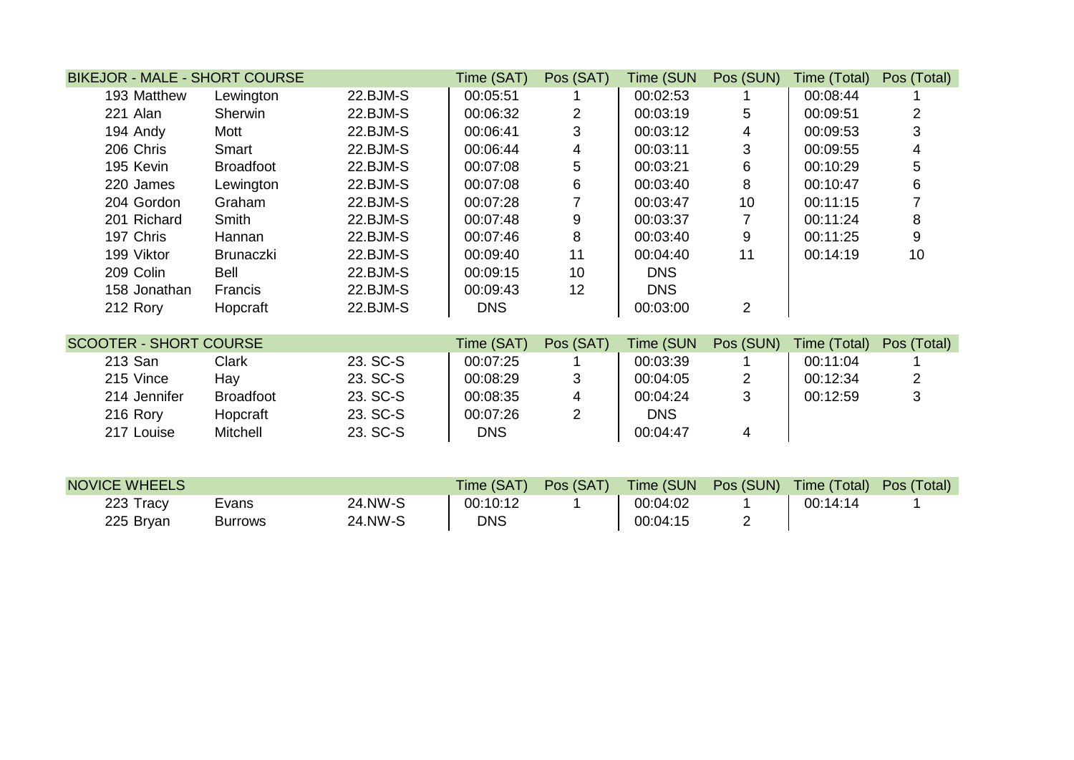| <b>BIKEJOR - MALE - SHORT COURSE</b> |                  |          | Time (SAT) | Pos (SAT)      | Time (SUN  | Pos (SUN)        | Time (Total) | Pos (Total)    |
|--------------------------------------|------------------|----------|------------|----------------|------------|------------------|--------------|----------------|
| 193 Matthew                          | Lewington        | 22.BJM-S | 00:05:51   |                | 00:02:53   |                  | 00:08:44     |                |
| 221 Alan                             | Sherwin          | 22.BJM-S | 00:06:32   | $\overline{2}$ | 00:03:19   | 5                | 00:09:51     | $\overline{2}$ |
| 194 Andy                             | Mott             | 22.BJM-S | 00:06:41   | 3              | 00:03:12   | 4                | 00:09:53     | 3              |
| 206 Chris                            | Smart            | 22.BJM-S | 00:06:44   | 4              | 00:03:11   | 3                | 00:09:55     | 4              |
| 195 Kevin                            | <b>Broadfoot</b> | 22.BJM-S | 00:07:08   | 5              | 00:03:21   | 6                | 00:10:29     | 5              |
| 220 James                            | Lewington        | 22.BJM-S | 00:07:08   | 6              | 00:03:40   | 8                | 00:10:47     | 6              |
| 204 Gordon                           | Graham           | 22.BJM-S | 00:07:28   |                | 00:03:47   | 10               | 00:11:15     |                |
| 201 Richard                          | <b>Smith</b>     | 22.BJM-S | 00:07:48   | $9\,$          | 00:03:37   |                  | 00:11:24     | 8              |
| 197 Chris                            | Hannan           | 22.BJM-S | 00:07:46   | 8              | 00:03:40   | $\boldsymbol{9}$ | 00:11:25     | 9              |
| 199 Viktor                           | <b>Brunaczki</b> | 22.BJM-S | 00:09:40   | 11             | 00:04:40   | 11               | 00:14:19     | 10             |
| 209 Colin                            | Bell             | 22.BJM-S | 00:09:15   | 10             | <b>DNS</b> |                  |              |                |
| 158 Jonathan                         | Francis          | 22.BJM-S | 00:09:43   | 12             | <b>DNS</b> |                  |              |                |
| 212 Rory                             | Hopcraft         | 22.BJM-S | <b>DNS</b> |                | 00:03:00   | $\overline{2}$   |              |                |
| <b>SCOOTER - SHORT COURSE</b>        |                  |          | Time (SAT) | Pos (SAT)      | Time (SUN  | Pos (SUN)        | Time (Total) | Pos (Total)    |
| 213 San                              | <b>Clark</b>     | 23. SC-S | 00:07:25   |                | 00:03:39   |                  | 00:11:04     |                |
| 215 Vince                            | Hay              | 23. SC-S | 00:08:29   | 3              | 00:04:05   | $\overline{2}$   | 00:12:34     | $\overline{2}$ |
| 214 Jennifer                         | <b>Broadfoot</b> | 23. SC-S | 00:08:35   | 4              | 00:04:24   | 3                | 00:12:59     | 3              |
| 216 Rory                             | Hopcraft         | 23. SC-S | 00:07:26   | $\overline{2}$ | <b>DNS</b> |                  |              |                |
| 217 Louise                           | Mitchell         | 23. SC-S | <b>DNS</b> |                | 00:04:47   | 4                |              |                |
|                                      |                  |          |            |                |            |                  |              |                |
| <b>NOVICE WHEELS</b>                 |                  |          | Time (SAT) | Pos (SAT)      | Time (SUN  | Pos (SUN)        | Time (Total) | Pos (Total)    |
| 223 Tracy                            | Evans            | 24.NW-S  | 00:10:12   |                | 00:04:02   |                  | 00:14:14     |                |
| 225 Bryan                            | <b>Burrows</b>   | 24.NW-S  | <b>DNS</b> |                | 00:04:15   | $\overline{2}$   |              |                |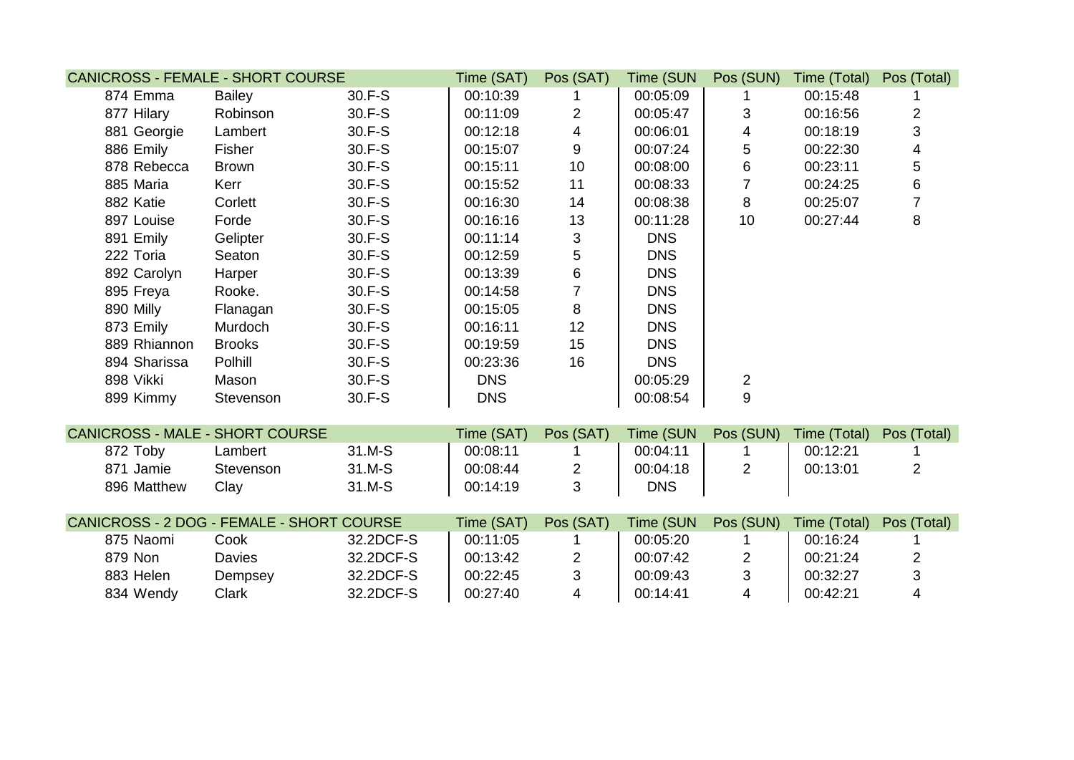| <b>CANICROSS - FEMALE - SHORT COURSE</b>  |               |           | Time (SAT) | Pos (SAT)               | Time (SUN  | Pos (SUN)      | Time (Total) | Pos (Total)    |
|-------------------------------------------|---------------|-----------|------------|-------------------------|------------|----------------|--------------|----------------|
| 874 Emma                                  | <b>Bailey</b> | 30.F-S    | 00:10:39   |                         | 00:05:09   |                | 00:15:48     |                |
| 877 Hilary                                | Robinson      | 30.F-S    | 00:11:09   | $\overline{2}$          | 00:05:47   | 3              | 00:16:56     | $\overline{2}$ |
| 881 Georgie                               | Lambert       | 30.F-S    | 00:12:18   | $\overline{\mathbf{4}}$ | 00:06:01   | 4              | 00:18:19     | 3              |
| 886 Emily                                 | Fisher        | 30.F-S    | 00:15:07   | 9                       | 00:07:24   | 5              | 00:22:30     | 4              |
| 878 Rebecca                               | <b>Brown</b>  | 30.F-S    | 00:15:11   | 10                      | 00:08:00   | $\,6$          | 00:23:11     | 5              |
| 885 Maria                                 | Kerr          | 30.F-S    | 00:15:52   | 11                      | 00:08:33   | $\overline{7}$ | 00:24:25     | 6              |
| 882 Katie                                 | Corlett       | 30.F-S    | 00:16:30   | 14                      | 00:08:38   | 8              | 00:25:07     | $\overline{7}$ |
| 897 Louise                                | Forde         | 30.F-S    | 00:16:16   | 13                      | 00:11:28   | 10             | 00:27:44     | 8              |
| 891 Emily                                 | Gelipter      | 30.F-S    | 00:11:14   | 3                       | <b>DNS</b> |                |              |                |
| 222 Toria                                 | Seaton        | 30.F-S    | 00:12:59   | 5                       | <b>DNS</b> |                |              |                |
| 892 Carolyn                               | Harper        | 30.F-S    | 00:13:39   | $\,6\,$                 | <b>DNS</b> |                |              |                |
| 895 Freya                                 | Rooke.        | 30.F-S    | 00:14:58   | $\overline{7}$          | <b>DNS</b> |                |              |                |
| 890 Milly                                 | Flanagan      | 30.F-S    | 00:15:05   | 8                       | <b>DNS</b> |                |              |                |
| 873 Emily                                 | Murdoch       | 30.F-S    | 00:16:11   | 12                      | <b>DNS</b> |                |              |                |
| 889 Rhiannon                              | <b>Brooks</b> | 30.F-S    | 00:19:59   | 15                      | <b>DNS</b> |                |              |                |
| 894 Sharissa                              | Polhill       | 30.F-S    | 00:23:36   | 16                      | <b>DNS</b> |                |              |                |
| 898 Vikki                                 | Mason         | 30.F-S    | <b>DNS</b> |                         | 00:05:29   | $\overline{2}$ |              |                |
| 899 Kimmy                                 | Stevenson     | 30.F-S    | <b>DNS</b> |                         | 00:08:54   | 9              |              |                |
|                                           |               |           |            |                         |            |                |              |                |
| <b>CANICROSS - MALE - SHORT COURSE</b>    |               |           | Time (SAT) | Pos (SAT)               | Time (SUN  | Pos (SUN)      | Time (Total) | Pos (Total)    |
| 872 Toby                                  | Lambert       | 31.M-S    | 00:08:11   |                         | 00:04:11   |                | 00:12:21     |                |
| 871 Jamie                                 | Stevenson     | 31.M-S    | 00:08:44   | $\overline{2}$          | 00:04:18   | $\overline{2}$ | 00:13:01     | $\overline{2}$ |
| 896 Matthew                               | Clay          | 31.M-S    | 00:14:19   | 3                       | <b>DNS</b> |                |              |                |
| CANICROSS - 2 DOG - FEMALE - SHORT COURSE |               |           | Time (SAT) | Pos (SAT)               | Time (SUN  | Pos (SUN)      | Time (Total) | Pos (Total)    |
| 875 Naomi                                 | Cook          | 32.2DCF-S | 00:11:05   |                         | 00:05:20   |                | 00:16:24     |                |
| 879 Non                                   | Davies        | 32.2DCF-S | 00:13:42   | $\overline{2}$          | 00:07:42   | $\overline{2}$ | 00:21:24     | 2              |
| 883 Helen                                 | Dempsey       | 32.2DCF-S | 00:22:45   | 3                       | 00:09:43   | 3              | 00:32:27     | 3              |
| 834 Wendy                                 | Clark         | 32.2DCF-S | 00:27:40   | $\overline{4}$          | 00:14:41   | 4              | 00:42:21     | 4              |
|                                           |               |           |            |                         |            |                |              |                |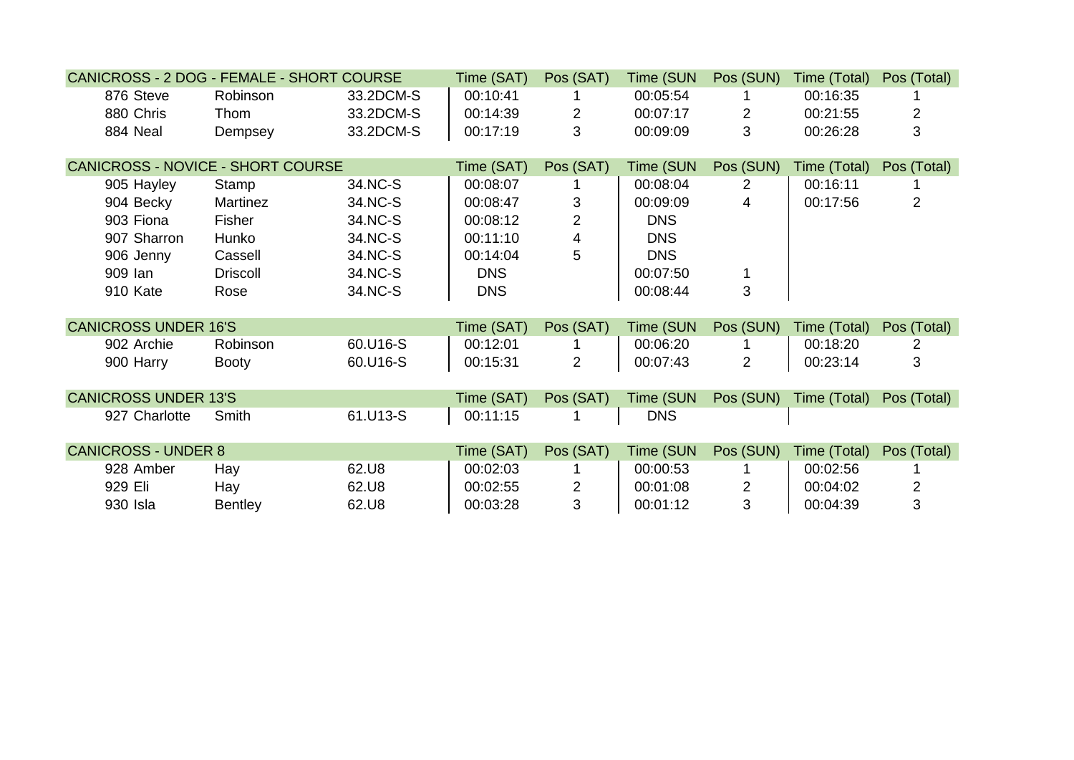| CANICROSS - 2 DOG - FEMALE - SHORT COURSE |                 |           | Time (SAT) | Pos (SAT)      | Time (SUN  | Pos (SUN)      | Time (Total) | Pos (Total) |
|-------------------------------------------|-----------------|-----------|------------|----------------|------------|----------------|--------------|-------------|
| 876 Steve                                 | Robinson        | 33.2DCM-S | 00:10:41   |                | 00:05:54   |                | 00:16:35     |             |
| 880 Chris                                 | Thom            | 33.2DCM-S | 00:14:39   | $\overline{2}$ | 00:07:17   | $\overline{2}$ | 00:21:55     | 2           |
| 884 Neal                                  | Dempsey         | 33.2DCM-S | 00:17:19   | 3              | 00:09:09   | 3              | 00:26:28     | 3           |
|                                           |                 |           |            |                |            |                |              |             |
| <b>CANICROSS - NOVICE - SHORT COURSE</b>  |                 |           | Time (SAT) | Pos (SAT)      | Time (SUN  | Pos (SUN)      | Time (Total) | Pos (Total) |
| 905 Hayley                                | Stamp           | 34.NC-S   | 00:08:07   |                | 00:08:04   | $\overline{2}$ | 00:16:11     |             |
| 904 Becky                                 | Martinez        | 34.NC-S   | 00:08:47   | 3              | 00:09:09   | 4              | 00:17:56     | 2           |
| 903 Fiona                                 | Fisher          | 34.NC-S   | 00:08:12   | $\overline{2}$ | <b>DNS</b> |                |              |             |
| 907 Sharron                               | Hunko           | 34.NC-S   | 00:11:10   | $\overline{4}$ | <b>DNS</b> |                |              |             |
| 906 Jenny                                 | Cassell         | 34.NC-S   | 00:14:04   | 5              | <b>DNS</b> |                |              |             |
| 909 lan                                   | <b>Driscoll</b> | 34.NC-S   | <b>DNS</b> |                | 00:07:50   |                |              |             |
| 910 Kate                                  | Rose            | 34.NC-S   | <b>DNS</b> |                | 00:08:44   | 3              |              |             |
|                                           |                 |           |            |                |            |                |              |             |
| <b>CANICROSS UNDER 16'S</b>               |                 |           | Time (SAT) | Pos (SAT)      | Time (SUN  | Pos (SUN)      | Time (Total) | Pos (Total) |
| 902 Archie                                | Robinson        | 60.U16-S  | 00:12:01   |                | 00:06:20   |                | 00:18:20     | 2           |
| 900 Harry                                 | <b>Booty</b>    | 60.U16-S  | 00:15:31   | $\overline{2}$ | 00:07:43   | $\overline{2}$ | 00:23:14     | 3           |
|                                           |                 |           |            |                |            |                |              |             |
| <b>CANICROSS UNDER 13'S</b>               |                 |           | Time (SAT) | Pos (SAT)      | Time (SUN  | Pos (SUN)      | Time (Total) | Pos (Total) |
| 927 Charlotte                             | Smith           | 61.U13-S  | 00:11:15   |                | <b>DNS</b> |                |              |             |
|                                           |                 |           |            |                |            |                |              |             |
| <b>CANICROSS - UNDER 8</b>                |                 |           | Time (SAT) | Pos (SAT)      | Time (SUN  | Pos (SUN)      | Time (Total) | Pos (Total) |
| 928 Amber                                 | Hay             | 62.U8     | 00:02:03   |                | 00:00:53   |                | 00:02:56     |             |
| 929 Eli                                   | Hay             | 62.U8     | 00:02:55   | $\overline{2}$ | 00:01:08   | $\overline{2}$ | 00:04:02     | 2           |
| 930 Isla                                  | <b>Bentley</b>  | 62.U8     | 00:03:28   | 3              | 00:01:12   | 3              | 00:04:39     | 3           |